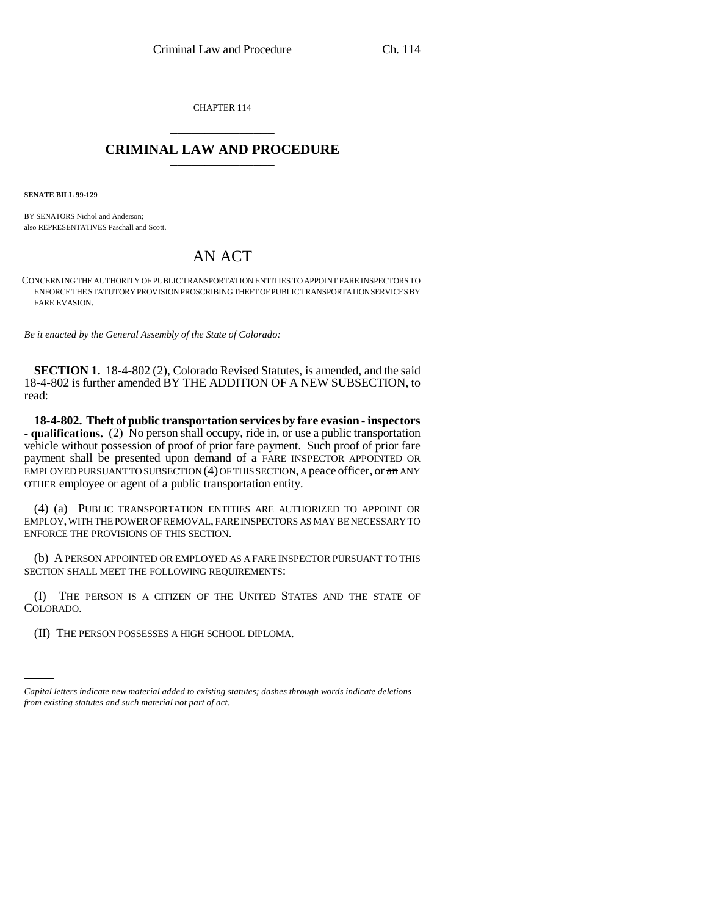CHAPTER 114 \_\_\_\_\_\_\_\_\_\_\_\_\_\_\_

## **CRIMINAL LAW AND PROCEDURE** \_\_\_\_\_\_\_\_\_\_\_\_\_\_\_

**SENATE BILL 99-129** 

BY SENATORS Nichol and Anderson; also REPRESENTATIVES Paschall and Scott.

## AN ACT

CONCERNING THE AUTHORITY OF PUBLIC TRANSPORTATION ENTITIES TO APPOINT FARE INSPECTORS TO ENFORCE THE STATUTORY PROVISION PROSCRIBING THEFT OF PUBLIC TRANSPORTATION SERVICES BY FARE EVASION.

*Be it enacted by the General Assembly of the State of Colorado:*

**SECTION 1.** 18-4-802 (2), Colorado Revised Statutes, is amended, and the said 18-4-802 is further amended BY THE ADDITION OF A NEW SUBSECTION, to read:

**18-4-802. Theft of public transportation services by fare evasion - inspectors - qualifications.** (2) No person shall occupy, ride in, or use a public transportation vehicle without possession of proof of prior fare payment. Such proof of prior fare payment shall be presented upon demand of a FARE INSPECTOR APPOINTED OR EMPLOYED PURSUANT TO SUBSECTION (4) OF THIS SECTION, A peace officer, or an ANY OTHER employee or agent of a public transportation entity.

(4) (a) PUBLIC TRANSPORTATION ENTITIES ARE AUTHORIZED TO APPOINT OR EMPLOY, WITH THE POWER OF REMOVAL, FARE INSPECTORS AS MAY BE NECESSARY TO ENFORCE THE PROVISIONS OF THIS SECTION.

(b) A PERSON APPOINTED OR EMPLOYED AS A FARE INSPECTOR PURSUANT TO THIS SECTION SHALL MEET THE FOLLOWING REQUIREMENTS:

<u>esper</u> (I) THE PERSON IS A CITIZEN OF THE UNITED STATES AND THE STATE OF COLORADO.

(II) THE PERSON POSSESSES A HIGH SCHOOL DIPLOMA.

*Capital letters indicate new material added to existing statutes; dashes through words indicate deletions from existing statutes and such material not part of act.*